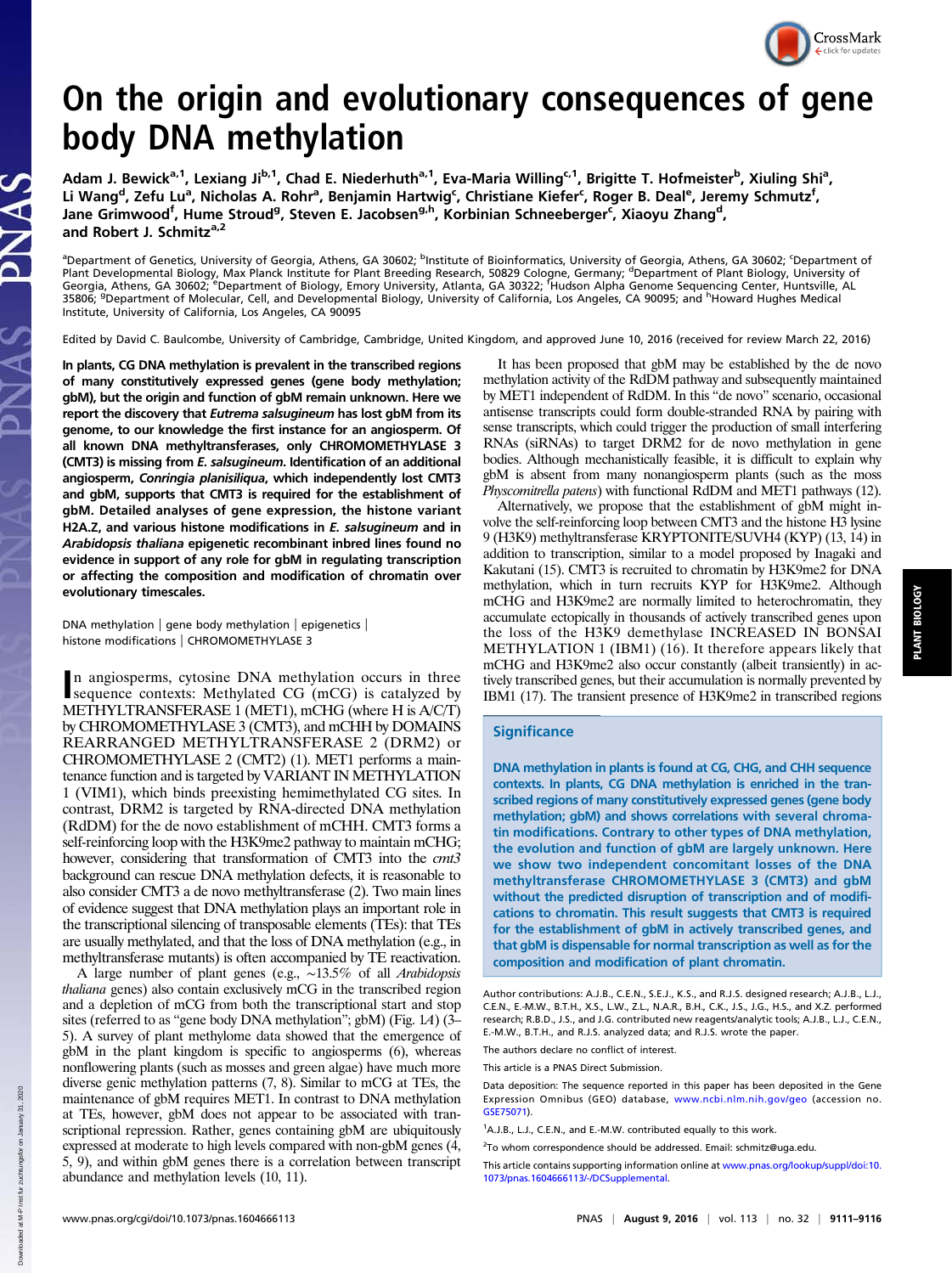

## On the origin and evolutionary consequences of gene body DNA methylation

Adam J. Bewick<sup>a,1</sup>, Lexiang Ji<sup>b,1</sup>, Chad E. Niederhuth<sup>a,1</sup>, Eva-Maria Willing<sup>c,1</sup>, Brigitte T. Hofmeister<sup>b</sup>, Xiuling Shi<sup>a</sup>, Li Wang<sup>d</sup>, Zefu Lu<sup>a</sup>, Nicholas A. Rohr<sup>a</sup>, Benjamin Hartwig<sup>c</sup>, Christiane Kiefer<sup>c</sup>, Roger B. Deal<sup>e</sup>, Jeremy Schmutz<sup>f</sup>, Jane Grimwood<sup>f</sup>, Hume Stroud<sup>g</sup>, Steven E. Jacobsen<sup>g,h</sup>, Korbinian Schneeberger<sup>c</sup>, Xiaoyu Zhang<sup>d</sup>, and Robert J. Schmitz<sup>a,2</sup>

<sup>a</sup>Department of Genetics, University of Georgia, Athens, GA 30602; <sup>b</sup>Institute of Bioinformatics, University of Georgia, Athens, GA 30602; <sup>c</sup>Department of Plant Developmental Biology, Max Planck Institute for Plant Breeding Research, 50829 Cologne, Germany; <sup>d</sup>Department of Plant Biology, University of<br>Georgia, Athens, GA 30602; <sup>e</sup>Department of Biology, Emory University, At Institute, University of California, Los Angeles, CA 90095

Edited by David C. Baulcombe, University of Cambridge, Cambridge, United Kingdom, and approved June 10, 2016 (received for review March 22, 2016)

In plants, CG DNA methylation is prevalent in the transcribed regions of many constitutively expressed genes (gene body methylation; gbM), but the origin and function of gbM remain unknown. Here we report the discovery that Eutrema salsugineum has lost gbM from its genome, to our knowledge the first instance for an angiosperm. Of all known DNA methyltransferases, only CHROMOMETHYLASE 3 (CMT3) is missing from E. salsugineum. Identification of an additional angiosperm, Conringia planisiliqua, which independently lost CMT3 and gbM, supports that CMT3 is required for the establishment of gbM. Detailed analyses of gene expression, the histone variant H2A.Z, and various histone modifications in E. salsugineum and in Arabidopsis thaliana epigenetic recombinant inbred lines found no evidence in support of any role for gbM in regulating transcription or affecting the composition and modification of chromatin over evolutionary timescales.

DNA methylation | gene body methylation | epigenetics | histone modifications | CHROMOMETHYLASE 3

n angiosperms, cytosine DNA methylation occurs in three<br>sequence contexts: Methylated CG (mCG) is catalyzed by<br>methylated CG (mCG) is catalyzed by sequence contexts: Methylated CG (mCG) is catalyzed by METHYLTRANSFERASE 1 (MET1), mCHG (where H is A/C/T) by CHROMOMETHYLASE 3 (CMT3), and mCHH by DOMAINS REARRANGED METHYLTRANSFERASE 2 (DRM2) or CHROMOMETHYLASE 2 (CMT2) (1). MET1 performs a maintenance function and is targeted by VARIANT IN METHYLATION 1 (VIM1), which binds preexisting hemimethylated CG sites. In contrast, DRM2 is targeted by RNA-directed DNA methylation (RdDM) for the de novo establishment of mCHH. CMT3 forms a self-reinforcing loop with the H3K9me2 pathway to maintain mCHG; however, considering that transformation of CMT3 into the cmt3 background can rescue DNA methylation defects, it is reasonable to also consider CMT3 a de novo methyltransferase (2). Two main lines of evidence suggest that DNA methylation plays an important role in the transcriptional silencing of transposable elements (TEs): that TEs are usually methylated, and that the loss of DNA methylation (e.g., in methyltransferase mutants) is often accompanied by TE reactivation.

A large number of plant genes (e.g., ∼13.5% of all Arabidopsis thaliana genes) also contain exclusively mCG in the transcribed region and a depletion of mCG from both the transcriptional start and stop sites (referred to as "gene body DNA methylation"; gbM) (Fig. 1A) (3– 5). A survey of plant methylome data showed that the emergence of gbM in the plant kingdom is specific to angiosperms (6), whereas nonflowering plants (such as mosses and green algae) have much more diverse genic methylation patterns (7, 8). Similar to mCG at TEs, the maintenance of gbM requires MET1. In contrast to DNA methylation at TEs, however, gbM does not appear to be associated with transcriptional repression. Rather, genes containing gbM are ubiquitously expressed at moderate to high levels compared with non-gbM genes (4, 5, 9), and within gbM genes there is a correlation between transcript abundance and methylation levels (10, 11).

It has been proposed that gbM may be established by the de novo methylation activity of the RdDM pathway and subsequently maintained by MET1 independent of RdDM. In this "de novo" scenario, occasional antisense transcripts could form double-stranded RNA by pairing with sense transcripts, which could trigger the production of small interfering RNAs (siRNAs) to target DRM2 for de novo methylation in gene bodies. Although mechanistically feasible, it is difficult to explain why gbM is absent from many nonangiosperm plants (such as the moss Physcomitrella patens) with functional RdDM and MET1 pathways (12).

Alternatively, we propose that the establishment of gbM might involve the self-reinforcing loop between CMT3 and the histone H3 lysine 9 (H3K9) methyltransferase KRYPTONITE/SUVH4 (KYP) (13, 14) in addition to transcription, similar to a model proposed by Inagaki and Kakutani (15). CMT3 is recruited to chromatin by H3K9me2 for DNA methylation, which in turn recruits KYP for H3K9me2. Although mCHG and H3K9me2 are normally limited to heterochromatin, they accumulate ectopically in thousands of actively transcribed genes upon the loss of the H3K9 demethylase INCREASED IN BONSAI METHYLATION 1 (IBM1) (16). It therefore appears likely that mCHG and H3K9me2 also occur constantly (albeit transiently) in actively transcribed genes, but their accumulation is normally prevented by IBM1 (17). The transient presence of H3K9me2 in transcribed regions

## **Significance**

DNA methylation in plants is found at CG, CHG, and CHH sequence contexts. In plants, CG DNA methylation is enriched in the transcribed regions of many constitutively expressed genes (gene body methylation; gbM) and shows correlations with several chromatin modifications. Contrary to other types of DNA methylation, the evolution and function of gbM are largely unknown. Here we show two independent concomitant losses of the DNA methyltransferase CHROMOMETHYLASE 3 (CMT3) and gbM without the predicted disruption of transcription and of modifications to chromatin. This result suggests that CMT3 is required for the establishment of gbM in actively transcribed genes, and that gbM is dispensable for normal transcription as well as for the composition and modification of plant chromatin.

The authors declare no conflict of interest.

This article is a PNAS Direct Submission.

Author contributions: A.J.B., C.E.N., S.E.J., K.S., and R.J.S. designed research; A.J.B., L.J., C.E.N., E.-M.W., B.T.H., X.S., L.W., Z.L., N.A.R., B.H., C.K., J.S., J.G., H.S., and X.Z. performed research; R.B.D., J.S., and J.G. contributed new reagents/analytic tools; A.J.B., L.J., C.E.N., E.-M.W., B.T.H., and R.J.S. analyzed data; and R.J.S. wrote the paper.

Data deposition: The sequence reported in this paper has been deposited in the Gene Expression Omnibus (GEO) database, [www.ncbi.nlm.nih.gov/geo](http://www.ncbi.nlm.nih.gov/geo) (accession no. [GSE75071\)](http://www.ncbi.nlm.nih.gov/geo/query/acc.cgi?acc=GSE75071).

<sup>&</sup>lt;sup>1</sup>A.J.B., L.J., C.E.N., and E.-M.W. contributed equally to this work.

<sup>&</sup>lt;sup>2</sup>To whom correspondence should be addressed. Email: [schmitz@uga.edu](mailto:schmitz@uga.edu).

This article contains supporting information online at [www.pnas.org/lookup/suppl/doi:10.](http://www.pnas.org/lookup/suppl/doi:10.1073/pnas.1604666113/-/DCSupplemental) [1073/pnas.1604666113/-/DCSupplemental](http://www.pnas.org/lookup/suppl/doi:10.1073/pnas.1604666113/-/DCSupplemental).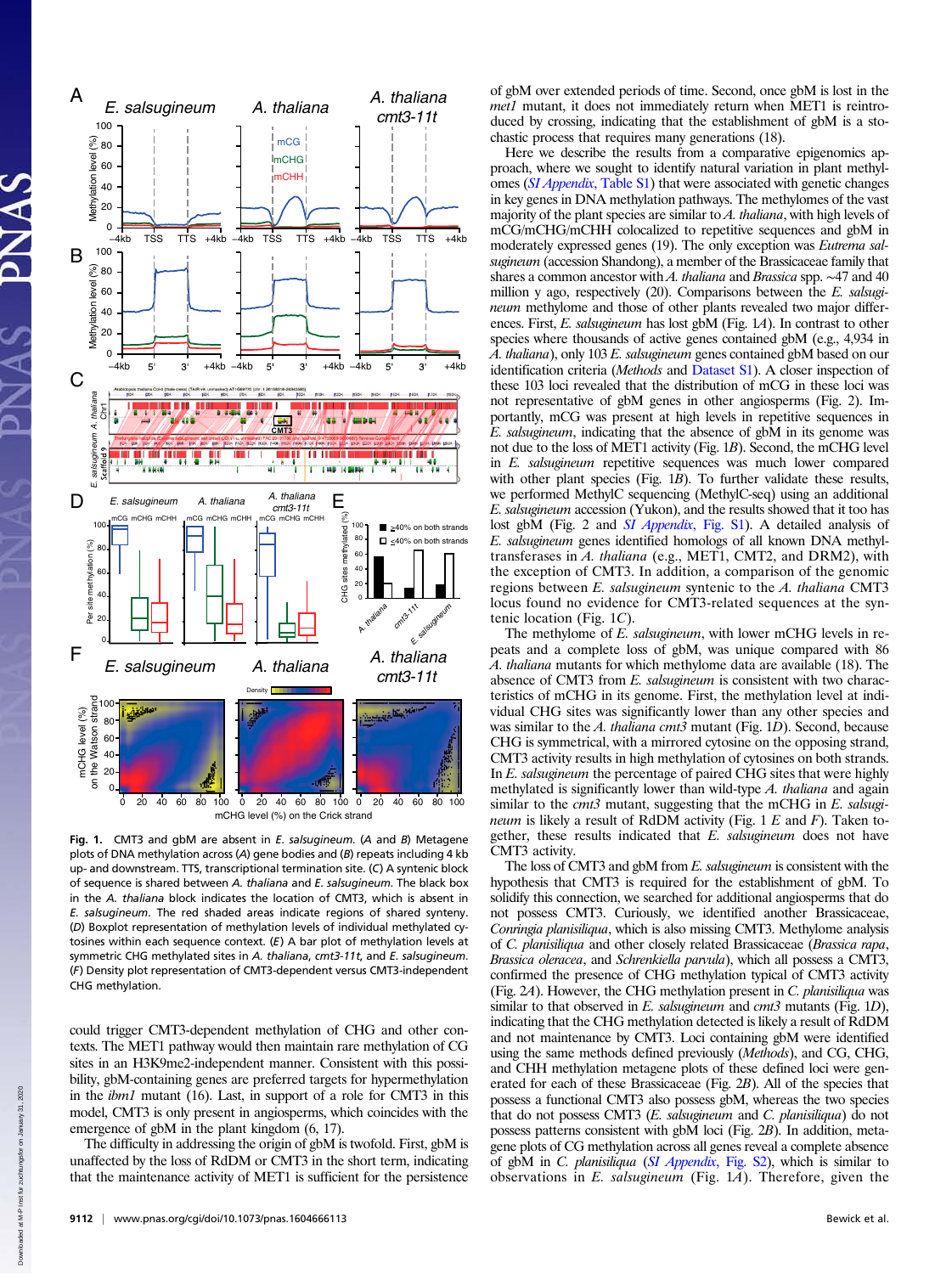

Fig. 1. CMT3 and gbM are absent in E. salsugineum. (A and B) Metagene plots of DNA methylation across (A) gene bodies and (B) repeats including 4 kb up- and downstream. TTS, transcriptional termination site. (C) A syntenic block of sequence is shared between A. thaliana and E. salsugineum. The black box in the A. thaliana block indicates the location of CMT3, which is absent in E. salsugineum. The red shaded areas indicate regions of shared synteny. (D) Boxplot representation of methylation levels of individual methylated cytosines within each sequence context. (E) A bar plot of methylation levels at symmetric CHG methylated sites in A. thaliana, cmt3-11t, and E. salsugineum. (F) Density plot representation of CMT3-dependent versus CMT3-independent CHG methylation.

could trigger CMT3-dependent methylation of CHG and other contexts. The MET1 pathway would then maintain rare methylation of CG sites in an H3K9me2-independent manner. Consistent with this possibility, gbM-containing genes are preferred targets for hypermethylation in the ibm1 mutant (16). Last, in support of a role for CMT3 in this model, CMT3 is only present in angiosperms, which coincides with the emergence of gbM in the plant kingdom (6, 17).

The difficulty in addressing the origin of gbM is twofold. First, gbM is unaffected by the loss of RdDM or CMT3 in the short term, indicating that the maintenance activity of MET1 is sufficient for the persistence of gbM over extended periods of time. Second, once gbM is lost in the met1 mutant, it does not immediately return when MET1 is reintroduced by crossing, indicating that the establishment of gbM is a stochastic process that requires many generations (18).

Here we describe the results from a comparative epigenomics approach, where we sought to identify natural variation in plant methylomes ([SI Appendix](http://www.pnas.org/lookup/suppl/doi:10.1073/pnas.1604666113/-/DCSupplemental/pnas.1604666113.sapp.pdf), Table S1) that were associated with genetic changes in key genes in DNA methylation pathways. The methylomes of the vast majority of the plant species are similar to  $A$ . *thaliana*, with high levels of mCG/mCHG/mCHH colocalized to repetitive sequences and gbM in moderately expressed genes (19). The only exception was Eutrema salsugineum (accession Shandong), a member of the Brassicaceae family that shares a common ancestor with A. thaliana and Brassica spp. ~47 and 40 million y ago, respectively (20). Comparisons between the E. salsugineum methylome and those of other plants revealed two major differences. First, E. salsugineum has lost gbM (Fig. 1A). In contrast to other species where thousands of active genes contained gbM (e.g., 4,934 in A. thaliana), only 103 E. salsugineum genes contained gbM based on our identification criteria (Methods and [Dataset S1\)](http://www.pnas.org/lookup/suppl/doi:10.1073/pnas.1604666113/-/DCSupplemental/pnas.1604666113.sd01.xlsx). A closer inspection of these 103 loci revealed that the distribution of mCG in these loci was not representative of gbM genes in other angiosperms (Fig. 2). Importantly, mCG was present at high levels in repetitive sequences in E. salsugineum, indicating that the absence of gbM in its genome was not due to the loss of MET1 activity (Fig. 1B). Second, the mCHG level in E. salsugineum repetitive sequences was much lower compared with other plant species (Fig.  $1B$ ). To further validate these results, we performed MethylC sequencing (MethylC-seq) using an additional E. salsugineum accession (Yukon), and the results showed that it too has lost gbM (Fig. 2 and *[SI Appendix](http://www.pnas.org/lookup/suppl/doi:10.1073/pnas.1604666113/-/DCSupplemental/pnas.1604666113.sapp.pdf)*, Fig. S1). A detailed analysis of E. salsugineum genes identified homologs of all known DNA methyltransferases in A. thaliana (e.g., MET1, CMT2, and DRM2), with the exception of CMT3. In addition, a comparison of the genomic regions between E. salsugineum syntenic to the A. thaliana CMT3 locus found no evidence for CMT3-related sequences at the syntenic location (Fig. 1C).

The methylome of E. salsugineum, with lower mCHG levels in repeats and a complete loss of gbM, was unique compared with 86 A. thaliana mutants for which methylome data are available (18). The absence of CMT3 from E. salsugineum is consistent with two characteristics of mCHG in its genome. First, the methylation level at individual CHG sites was significantly lower than any other species and was similar to the A. thaliana cmt3 mutant (Fig. 1D). Second, because CHG is symmetrical, with a mirrored cytosine on the opposing strand, CMT3 activity results in high methylation of cytosines on both strands. In E. salsugineum the percentage of paired CHG sites that were highly methylated is significantly lower than wild-type A. thaliana and again similar to the *cmt3* mutant, suggesting that the mCHG in E. salsugineum is likely a result of RdDM activity (Fig.  $1 E$  and  $F$ ). Taken together, these results indicated that E. salsugineum does not have CMT3 activity.

The loss of CMT3 and gbM from E. salsugineum is consistent with the hypothesis that CMT3 is required for the establishment of gbM. To solidify this connection, we searched for additional angiosperms that do not possess CMT3. Curiously, we identified another Brassicaceae, Conringia planisiliqua, which is also missing CMT3. Methylome analysis of C. planisiliqua and other closely related Brassicaceae (Brassica rapa, Brassica oleracea, and Schrenkiella parvula), which all possess a CMT3, confirmed the presence of CHG methylation typical of CMT3 activity (Fig. 2A). However, the CHG methylation present in C. planisiliqua was similar to that observed in E. salsugineum and  $cmt3$  mutants (Fig. 1D), indicating that the CHG methylation detected is likely a result of RdDM and not maintenance by CMT3. Loci containing gbM were identified using the same methods defined previously (Methods), and CG, CHG, and CHH methylation metagene plots of these defined loci were generated for each of these Brassicaceae (Fig. 2B). All of the species that possess a functional CMT3 also possess gbM, whereas the two species that do not possess CMT3  $(E.$  salsugineum and  $C.$  planisiliqua) do not possess patterns consistent with gbM loci (Fig. 2B). In addition, metagene plots of CG methylation across all genes reveal a complete absence of gbM in C. planisiliqua ([SI Appendix](http://www.pnas.org/lookup/suppl/doi:10.1073/pnas.1604666113/-/DCSupplemental/pnas.1604666113.sapp.pdf), Fig. S2), which is similar to observations in  $E$ . salsugineum (Fig. 1A). Therefore, given the

Down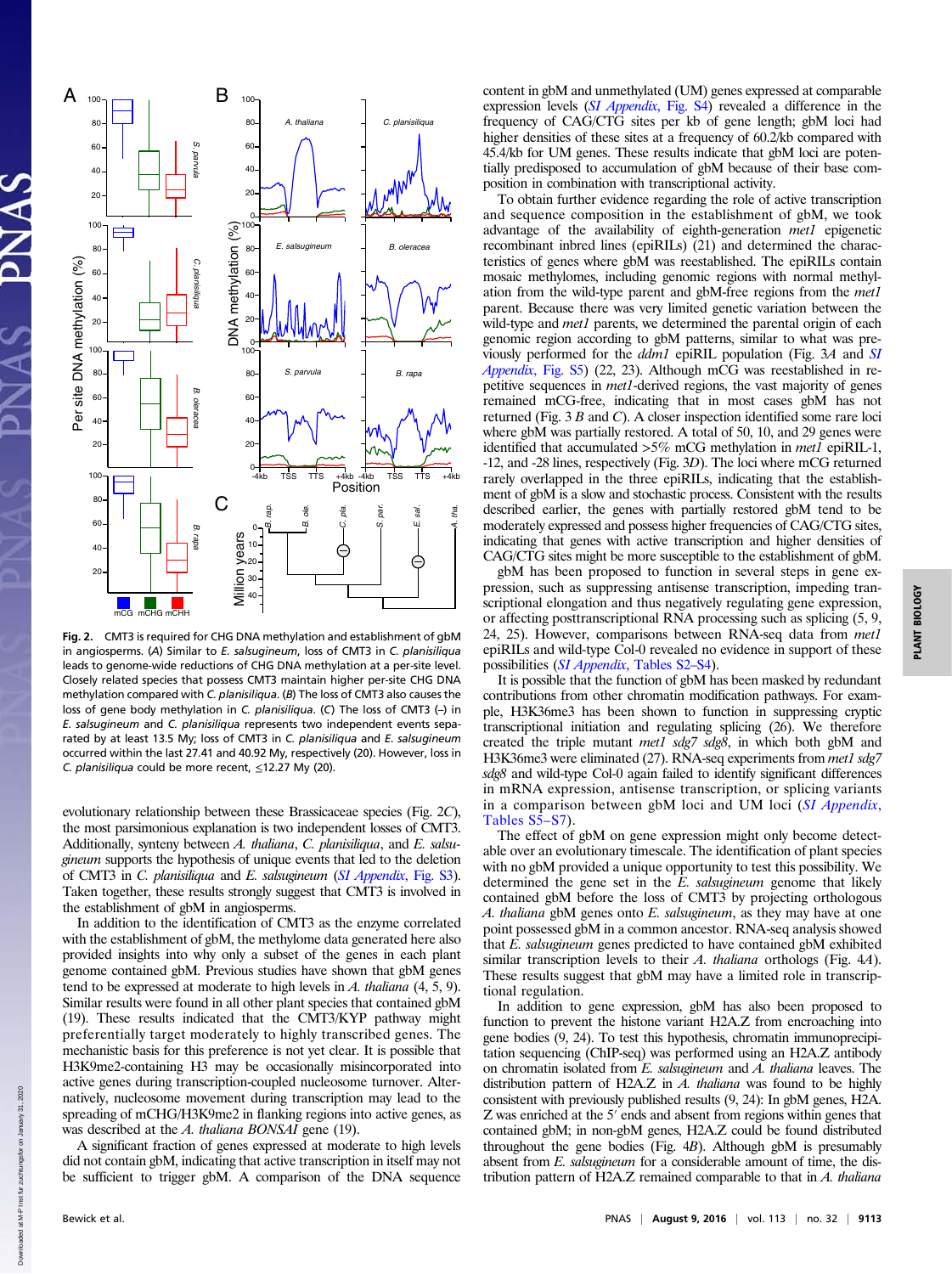

Fig. 2. CMT3 is required for CHG DNA methylation and establishment of gbM in angiosperms. (A) Similar to  $E$ , salsugineum, loss of CMT3 in C. planisiliqua leads to genome-wide reductions of CHG DNA methylation at a per-site level. Closely related species that possess CMT3 maintain higher per-site CHG DNA methylation compared with C. planisiliqua. (B) The loss of CMT3 also causes the loss of gene body methylation in C. planisiliqua. (C) The loss of CMT3 (–) in E. salsugineum and C. planisiliqua represents two independent events separated by at least 13.5 My; loss of CMT3 in C. planisiliqua and E. salsugineum occurred within the last 27.41 and 40.92 My, respectively (20). However, loss in C. planisiliqua could be more recent,  $\leq$ 12.27 My (20).

evolutionary relationship between these Brassicaceae species (Fig. 2C), the most parsimonious explanation is two independent losses of CMT3. Additionally, synteny between A. thaliana, C. planisiliqua, and E. salsugineum supports the hypothesis of unique events that led to the deletion of CMT3 in *C. planisiliqua* and *E. salsugineum* (*[SI Appendix](http://www.pnas.org/lookup/suppl/doi:10.1073/pnas.1604666113/-/DCSupplemental/pnas.1604666113.sapp.pdf)*, Fig. S3). Taken together, these results strongly suggest that CMT3 is involved in the establishment of gbM in angiosperms.

In addition to the identification of CMT3 as the enzyme correlated with the establishment of gbM, the methylome data generated here also provided insights into why only a subset of the genes in each plant genome contained gbM. Previous studies have shown that gbM genes tend to be expressed at moderate to high levels in  $A$ . thaliana (4, 5, 9). Similar results were found in all other plant species that contained gbM (19). These results indicated that the CMT3/KYP pathway might preferentially target moderately to highly transcribed genes. The mechanistic basis for this preference is not yet clear. It is possible that H3K9me2-containing H3 may be occasionally misincorporated into active genes during transcription-coupled nucleosome turnover. Alternatively, nucleosome movement during transcription may lead to the spreading of mCHG/H3K9me2 in flanking regions into active genes, as was described at the A. thaliana BONSAI gene (19).

A significant fraction of genes expressed at moderate to high levels did not contain gbM, indicating that active transcription in itself may not be sufficient to trigger gbM. A comparison of the DNA sequence content in gbM and unmethylated (UM) genes expressed at comparable expression levels ([SI Appendix](http://www.pnas.org/lookup/suppl/doi:10.1073/pnas.1604666113/-/DCSupplemental/pnas.1604666113.sapp.pdf), Fig. S4) revealed a difference in the frequency of CAG/CTG sites per kb of gene length; gbM loci had higher densities of these sites at a frequency of 60.2/kb compared with 45.4/kb for UM genes. These results indicate that gbM loci are potentially predisposed to accumulation of gbM because of their base composition in combination with transcriptional activity.

To obtain further evidence regarding the role of active transcription and sequence composition in the establishment of gbM, we took advantage of the availability of eighth-generation met1 epigenetic recombinant inbred lines (epiRILs) (21) and determined the characteristics of genes where gbM was reestablished. The epiRILs contain mosaic methylomes, including genomic regions with normal methylation from the wild-type parent and gbM-free regions from the met1 parent. Because there was very limited genetic variation between the wild-type and met1 parents, we determined the parental origin of each genomic region according to gbM patterns, similar to what was previously performed for the ddm1 epiRIL population (Fig. 3A and [SI](http://www.pnas.org/lookup/suppl/doi:10.1073/pnas.1604666113/-/DCSupplemental/pnas.1604666113.sapp.pdf) [Appendix](http://www.pnas.org/lookup/suppl/doi:10.1073/pnas.1604666113/-/DCSupplemental/pnas.1604666113.sapp.pdf), Fig. S5) (22, 23). Although mCG was reestablished in repetitive sequences in met1-derived regions, the vast majority of genes remained mCG-free, indicating that in most cases gbM has not returned (Fig. 3 B and C). A closer inspection identified some rare loci where gbM was partially restored. A total of 50, 10, and 29 genes were identified that accumulated >5% mCG methylation in met1 epiRIL-1, -12, and -28 lines, respectively (Fig. 3D). The loci where mCG returned rarely overlapped in the three epiRILs, indicating that the establishment of gbM is a slow and stochastic process. Consistent with the results described earlier, the genes with partially restored gbM tend to be moderately expressed and possess higher frequencies of CAG/CTG sites, indicating that genes with active transcription and higher densities of CAG/CTG sites might be more susceptible to the establishment of gbM.

gbM has been proposed to function in several steps in gene expression, such as suppressing antisense transcription, impeding transcriptional elongation and thus negatively regulating gene expression, or affecting posttranscriptional RNA processing such as splicing (5, 9, 24, 25). However, comparisons between RNA-seq data from met1 epiRILs and wild-type Col-0 revealed no evidence in support of these possibilities ([SI Appendix](http://www.pnas.org/lookup/suppl/doi:10.1073/pnas.1604666113/-/DCSupplemental/pnas.1604666113.sapp.pdf), Tables S2–[S4\)](http://www.pnas.org/lookup/suppl/doi:10.1073/pnas.1604666113/-/DCSupplemental/pnas.1604666113.sapp.pdf).

It is possible that the function of gbM has been masked by redundant contributions from other chromatin modification pathways. For example, H3K36me3 has been shown to function in suppressing cryptic transcriptional initiation and regulating splicing (26). We therefore created the triple mutant met1 sdg7 sdg8, in which both gbM and H3K36me3 were eliminated (27). RNA-seq experiments from met1 sdg7 sdg8 and wild-type Col-0 again failed to identify significant differences in mRNA expression, antisense transcription, or splicing variants in a comparison between gbM loci and UM loci ([SI Appendix](http://www.pnas.org/lookup/suppl/doi:10.1073/pnas.1604666113/-/DCSupplemental/pnas.1604666113.sapp.pdf), [Tables S5](http://www.pnas.org/lookup/suppl/doi:10.1073/pnas.1604666113/-/DCSupplemental/pnas.1604666113.sapp.pdf)–[S7](http://www.pnas.org/lookup/suppl/doi:10.1073/pnas.1604666113/-/DCSupplemental/pnas.1604666113.sapp.pdf)).

The effect of gbM on gene expression might only become detectable over an evolutionary timescale. The identification of plant species with no gbM provided a unique opportunity to test this possibility. We determined the gene set in the  $E$ . salsugineum genome that likely contained gbM before the loss of CMT3 by projecting orthologous A. thaliana gbM genes onto  $E$ . salsugineum, as they may have at one point possessed gbM in a common ancestor. RNA-seq analysis showed that E. salsugineum genes predicted to have contained gbM exhibited similar transcription levels to their A. *thaliana* orthologs (Fig. 4A). These results suggest that gbM may have a limited role in transcriptional regulation.

In addition to gene expression, gbM has also been proposed to function to prevent the histone variant H2A.Z from encroaching into gene bodies (9, 24). To test this hypothesis, chromatin immunoprecipitation sequencing (ChIP-seq) was performed using an H2A.Z antibody on chromatin isolated from E. salsugineum and A. thaliana leaves. The distribution pattern of H2A.Z in  $\overrightarrow{A}$ . thaliana was found to be highly consistent with previously published results (9, 24): In gbM genes, H2A. Z was enriched at the 5′ ends and absent from regions within genes that contained gbM; in non-gbM genes, H2A.Z could be found distributed throughout the gene bodies (Fig. 4B). Although gbM is presumably absent from E. salsugineum for a considerable amount of time, the distribution pattern of H2A.Z remained comparable to that in  $A$ . thaliana

Down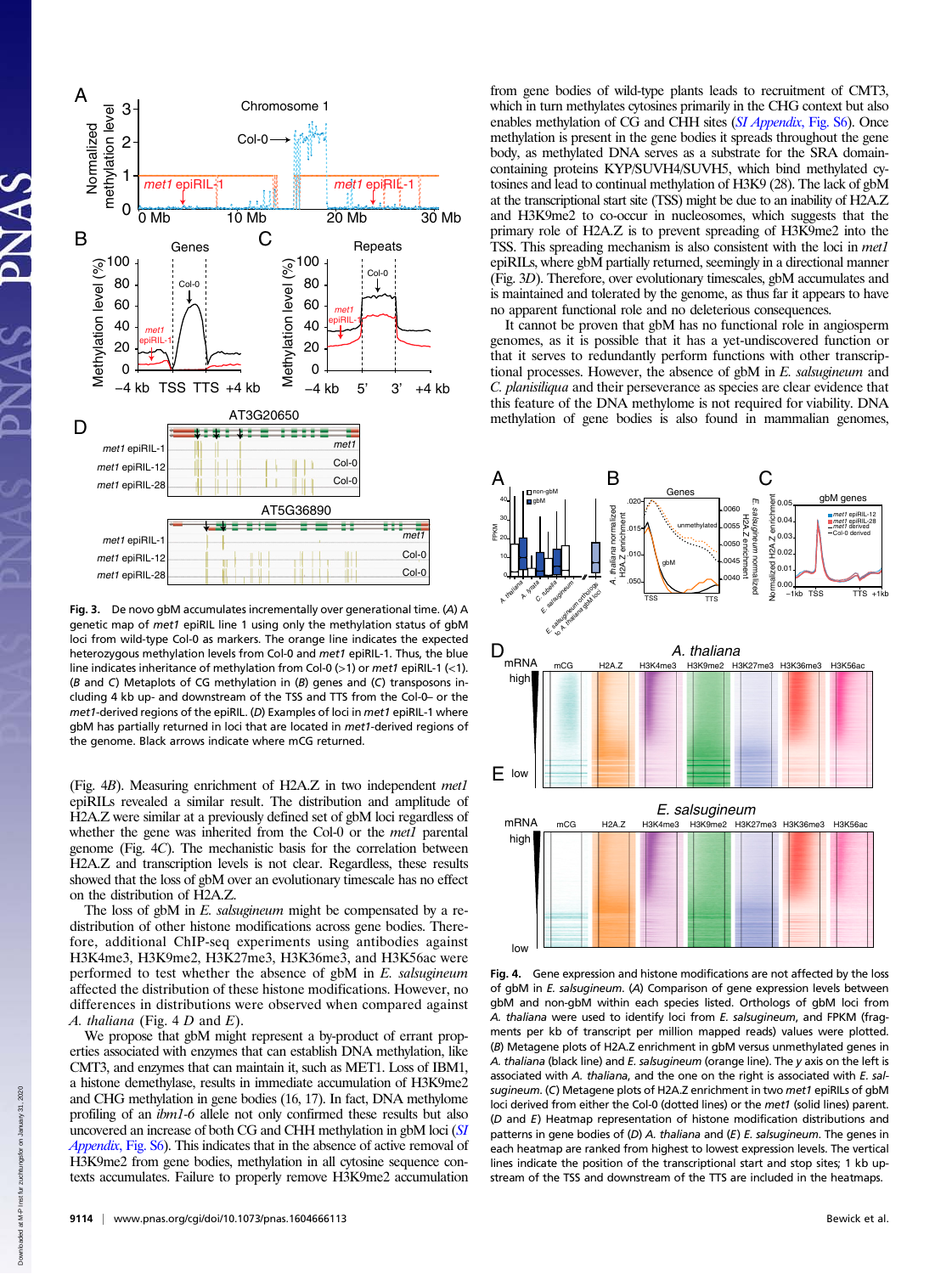

Fig. 3. De novo gbM accumulates incrementally over generational time. (A) A genetic map of met1 epiRIL line 1 using only the methylation status of gbM loci from wild-type Col-0 as markers. The orange line indicates the expected heterozygous methylation levels from Col-0 and met1 epiRIL-1. Thus, the blue line indicates inheritance of methylation from Col-0 (>1) or met1 epiRIL-1 (<1). (B and C) Metaplots of CG methylation in (B) genes and (C) transposons including 4 kb up- and downstream of the TSS and TTS from the Col-0– or the  $met1$ -derived regions of the epiRIL. (D) Examples of loci in  $met1$  epiRIL-1 where gbM has partially returned in loci that are located in met1-derived regions of the genome. Black arrows indicate where mCG returned.

(Fig. 4B). Measuring enrichment of H2A.Z in two independent met1 epiRILs revealed a similar result. The distribution and amplitude of H2A.Z were similar at a previously defined set of gbM loci regardless of whether the gene was inherited from the Col-0 or the met1 parental genome (Fig. 4C). The mechanistic basis for the correlation between H2A.Z and transcription levels is not clear. Regardless, these results showed that the loss of gbM over an evolutionary timescale has no effect on the distribution of H2A.Z.

The loss of gbM in E. salsugineum might be compensated by a redistribution of other histone modifications across gene bodies. Therefore, additional ChIP-seq experiments using antibodies against H3K4me3, H3K9me2, H3K27me3, H3K36me3, and H3K56ac were performed to test whether the absence of  $gbM$  in  $E$ . salsugineum affected the distribution of these histone modifications. However, no differences in distributions were observed when compared against A. thaliana (Fig.  $4 D$  and  $E$ ).

We propose that gbM might represent a by-product of errant properties associated with enzymes that can establish DNA methylation, like CMT3, and enzymes that can maintain it, such as MET1. Loss of IBM1, a histone demethylase, results in immediate accumulation of H3K9me2 and CHG methylation in gene bodies (16, 17). In fact, DNA methylome profiling of an ibm1-6 allele not only confirmed these results but also uncovered an increase of both CG and CHH methylation in gbM loci ([SI](http://www.pnas.org/lookup/suppl/doi:10.1073/pnas.1604666113/-/DCSupplemental/pnas.1604666113.sapp.pdf) [Appendix](http://www.pnas.org/lookup/suppl/doi:10.1073/pnas.1604666113/-/DCSupplemental/pnas.1604666113.sapp.pdf), Fig. S6). This indicates that in the absence of active removal of H3K9me2 from gene bodies, methylation in all cytosine sequence contexts accumulates. Failure to properly remove H3K9me2 accumulation from gene bodies of wild-type plants leads to recruitment of CMT3, which in turn methylates cytosines primarily in the CHG context but also enables methylation of CG and CHH sites ([SI Appendix](http://www.pnas.org/lookup/suppl/doi:10.1073/pnas.1604666113/-/DCSupplemental/pnas.1604666113.sapp.pdf), Fig. S6). Once methylation is present in the gene bodies it spreads throughout the gene body, as methylated DNA serves as a substrate for the SRA domaincontaining proteins KYP/SUVH4/SUVH5, which bind methylated cytosines and lead to continual methylation of H3K9 (28). The lack of gbM at the transcriptional start site (TSS) might be due to an inability of H2A.Z and H3K9me2 to co-occur in nucleosomes, which suggests that the primary role of H2A.Z is to prevent spreading of H3K9me2 into the TSS. This spreading mechanism is also consistent with the loci in met1 epiRILs, where gbM partially returned, seemingly in a directional manner (Fig. 3D). Therefore, over evolutionary timescales, gbM accumulates and is maintained and tolerated by the genome, as thus far it appears to have no apparent functional role and no deleterious consequences.

It cannot be proven that gbM has no functional role in angiosperm genomes, as it is possible that it has a yet-undiscovered function or that it serves to redundantly perform functions with other transcriptional processes. However, the absence of gbM in E. salsugineum and C. planisiliqua and their perseverance as species are clear evidence that this feature of the DNA methylome is not required for viability. DNA methylation of gene bodies is also found in mammalian genomes,



Fig. 4. Gene expression and histone modifications are not affected by the loss of gbM in E. salsugineum. (A) Comparison of gene expression levels between gbM and non-gbM within each species listed. Orthologs of gbM loci from A. thaliana were used to identify loci from E. salsugineum, and FPKM (fragments per kb of transcript per million mapped reads) values were plotted. (B) Metagene plots of H2A.Z enrichment in gbM versus unmethylated genes in A. thaliana (black line) and E. salsugineum (orange line). The y axis on the left is associated with A. thaliana, and the one on the right is associated with  $E$ , salsugineum. (C) Metagene plots of H2A.Z enrichment in two met1 epiRILs of gbM loci derived from either the Col-0 (dotted lines) or the met1 (solid lines) parent. (D and E) Heatmap representation of histone modification distributions and patterns in gene bodies of  $(D)$  A. thaliana and  $(E)$  E. salsugineum. The genes in each heatmap are ranked from highest to lowest expression levels. The vertical lines indicate the position of the transcriptional start and stop sites; 1 kb upstream of the TSS and downstream of the TTS are included in the heatmaps.

Down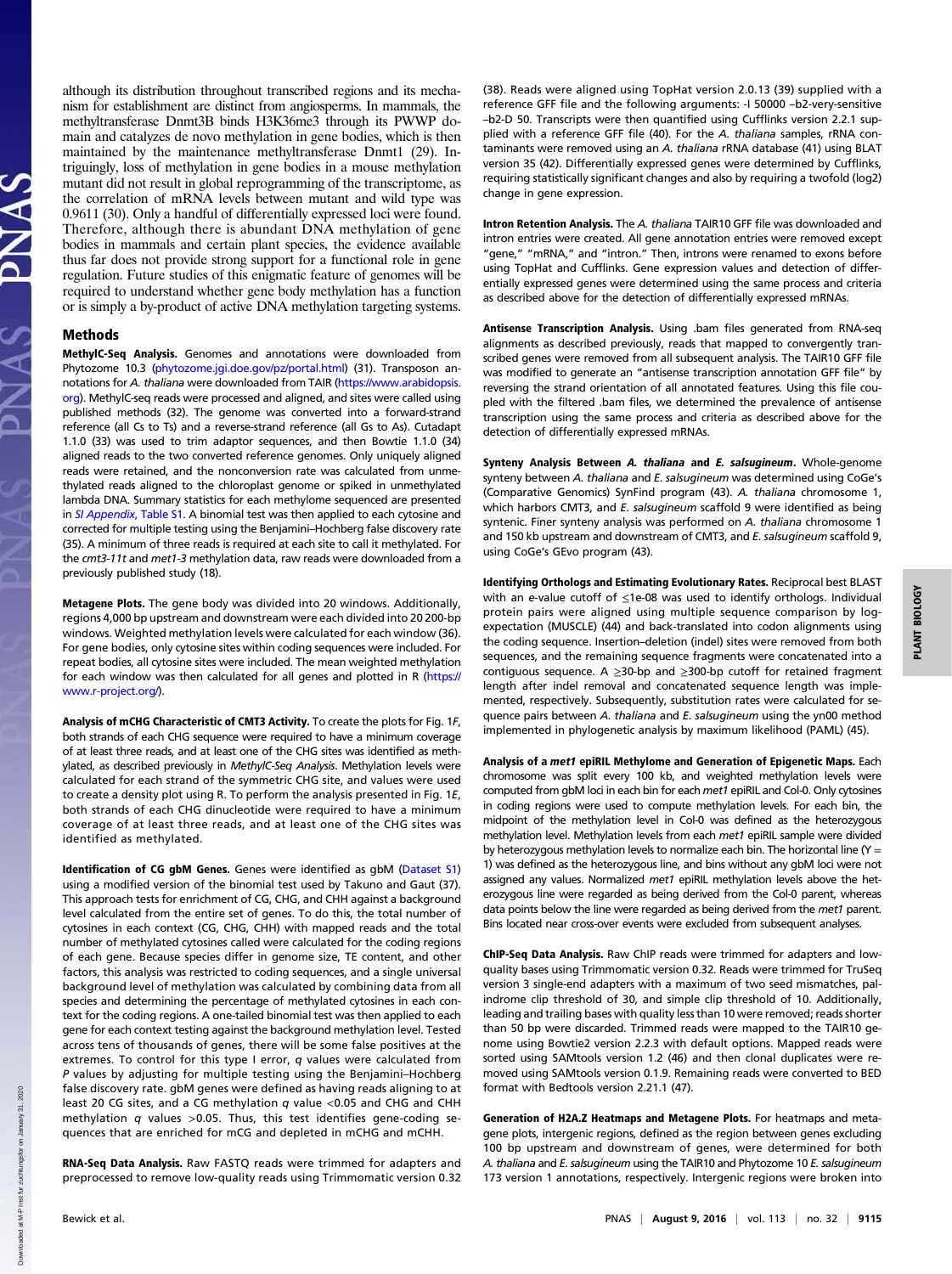although its distribution throughout transcribed regions and its mechanism for establishment are distinct from angiosperms. In mammals, the methyltransferase Dnmt3B binds H3K36me3 through its PWWP domain and catalyzes de novo methylation in gene bodies, which is then maintained by the maintenance methyltransferase Dnmt1 (29). Intriguingly, loss of methylation in gene bodies in a mouse methylation mutant did not result in global reprogramming of the transcriptome, as the correlation of mRNA levels between mutant and wild type was 0.9611 (30). Only a handful of differentially expressed loci were found. Therefore, although there is abundant DNA methylation of gene bodies in mammals and certain plant species, the evidence available thus far does not provide strong support for a functional role in gene regulation. Future studies of this enigmatic feature of genomes will be required to understand whether gene body methylation has a function or is simply a by-product of active DNA methylation targeting systems.

## Methods

MethylC-Seq Analysis. Genomes and annotations were downloaded from Phytozome 10.3 [\(phytozome.jgi.doe.gov/pz/portal.html\)](http://phytozome.jgi.doe.gov/pz/portal.html) (31). Transposon annotations for A. thaliana were downloaded from TAIR ([https://www.arabidopsis.](https://www.arabidopsis.org) [org\)](https://www.arabidopsis.org). MethylC-seq reads were processed and aligned, and sites were called using published methods (32). The genome was converted into a forward-strand reference (all Cs to Ts) and a reverse-strand reference (all Gs to As). Cutadapt 1.1.0 (33) was used to trim adaptor sequences, and then Bowtie 1.1.0 (34) aligned reads to the two converted reference genomes. Only uniquely aligned reads were retained, and the nonconversion rate was calculated from unmethylated reads aligned to the chloroplast genome or spiked in unmethylated lambda DNA. Summary statistics for each methylome sequenced are presented in *[SI Appendix](http://www.pnas.org/lookup/suppl/doi:10.1073/pnas.1604666113/-/DCSupplemental/pnas.1604666113.sapp.pdf)*. Table S1, A binomial test was then applied to each cytosine and corrected for multiple testing using the Benjamini–Hochberg false discovery rate (35). A minimum of three reads is required at each site to call it methylated. For the cmt3-11t and met1-3 methylation data, raw reads were downloaded from a previously published study (18).

Metagene Plots. The gene body was divided into 20 windows. Additionally, regions 4,000 bp upstream and downstream were each divided into 20 200-bp windows. Weighted methylation levels were calculated for each window (36). For gene bodies, only cytosine sites within coding sequences were included. For repeat bodies, all cytosine sites were included. The mean weighted methylation for each window was then calculated for all genes and plotted in R [\(https://](https://www.r-project.org/) [www.r-project.org/](https://www.r-project.org/)).

Analysis of mCHG Characteristic of CMT3 Activity. To create the plots for Fig. 1F, both strands of each CHG sequence were required to have a minimum coverage of at least three reads, and at least one of the CHG sites was identified as methylated, as described previously in MethylC-Seq Analysis. Methylation levels were calculated for each strand of the symmetric CHG site, and values were used to create a density plot using R. To perform the analysis presented in Fig. 1E, both strands of each CHG dinucleotide were required to have a minimum coverage of at least three reads, and at least one of the CHG sites was identified as methylated.

Identification of CG gbM Genes. Genes were identified as gbM [\(Dataset S1](http://www.pnas.org/lookup/suppl/doi:10.1073/pnas.1604666113/-/DCSupplemental/pnas.1604666113.sd01.xlsx)) using a modified version of the binomial test used by Takuno and Gaut (37). This approach tests for enrichment of CG, CHG, and CHH against a background level calculated from the entire set of genes. To do this, the total number of cytosines in each context (CG, CHG, CHH) with mapped reads and the total number of methylated cytosines called were calculated for the coding regions of each gene. Because species differ in genome size, TE content, and other factors, this analysis was restricted to coding sequences, and a single universal background level of methylation was calculated by combining data from all species and determining the percentage of methylated cytosines in each context for the coding regions. A one-tailed binomial test was then applied to each gene for each context testing against the background methylation level. Tested across tens of thousands of genes, there will be some false positives at the extremes. To control for this type I error, q values were calculated from P values by adjusting for multiple testing using the Benjamini–Hochberg false discovery rate. gbM genes were defined as having reads aligning to at least 20 CG sites, and a CG methylation  $q$  value <0.05 and CHG and CHH methylation  $q$  values >0.05. Thus, this test identifies gene-coding sequences that are enriched for mCG and depleted in mCHG and mCHH.

RNA-Seq Data Analysis. Raw FASTQ reads were trimmed for adapters and preprocessed to remove low-quality reads using Trimmomatic version 0.32

(38). Reads were aligned using TopHat version 2.0.13 (39) supplied with a reference GFF file and the following arguments: -I 50000 –b2-very-sensitive –b2-D 50. Transcripts were then quantified using Cufflinks version 2.2.1 supplied with a reference GFF file (40). For the A. thaliana samples, rRNA contaminants were removed using an A. thaliana rRNA database (41) using BLAT version 35 (42). Differentially expressed genes were determined by Cufflinks, requiring statistically significant changes and also by requiring a twofold (log2) change in gene expression.

Intron Retention Analysis. The A. thaliana TAIR10 GFF file was downloaded and intron entries were created. All gene annotation entries were removed except "gene," "mRNA," and "intron." Then, introns were renamed to exons before using TopHat and Cufflinks. Gene expression values and detection of differentially expressed genes were determined using the same process and criteria as described above for the detection of differentially expressed mRNAs.

Antisense Transcription Analysis. Using .bam files generated from RNA-seq alignments as described previously, reads that mapped to convergently transcribed genes were removed from all subsequent analysis. The TAIR10 GFF file was modified to generate an "antisense transcription annotation GFF file" by reversing the strand orientation of all annotated features. Using this file coupled with the filtered .bam files, we determined the prevalence of antisense transcription using the same process and criteria as described above for the detection of differentially expressed mRNAs.

Synteny Analysis Between A. thaliana and E. salsugineum. Whole-genome synteny between A. thaliana and E. salsugineum was determined using CoGe's (Comparative Genomics) SynFind program (43). A. thaliana chromosome 1, which harbors CMT3, and E. salsugineum scaffold 9 were identified as being syntenic. Finer synteny analysis was performed on A. thaliana chromosome 1 and 150 kb upstream and downstream of CMT3, and E. salsugineum scaffold 9, using CoGe's GEvo program (43).

Identifying Orthologs and Estimating Evolutionary Rates. Reciprocal best BLAST with an e-value cutoff of ≤1e-08 was used to identify orthologs. Individual protein pairs were aligned using multiple sequence comparison by logexpectation (MUSCLE) (44) and back-translated into codon alignments using the coding sequence. Insertion–deletion (indel) sites were removed from both sequences, and the remaining sequence fragments were concatenated into a contiguous sequence. A ≥30-bp and ≥300-bp cutoff for retained fragment length after indel removal and concatenated sequence length was implemented, respectively. Subsequently, substitution rates were calculated for sequence pairs between A. thaliana and E. salsugineum using the yn00 method implemented in phylogenetic analysis by maximum likelihood (PAML) (45).

Analysis of a met1 epiRIL Methylome and Generation of Epigenetic Maps. Each chromosome was split every 100 kb, and weighted methylation levels were computed from gbM loci in each bin for each met1 epiRIL and Col-0. Only cytosines in coding regions were used to compute methylation levels. For each bin, the midpoint of the methylation level in Col-0 was defined as the heterozygous methylation level. Methylation levels from each met1 epiRIL sample were divided by heterozygous methylation levels to normalize each bin. The horizontal line ( $Y =$ 1) was defined as the heterozygous line, and bins without any gbM loci were not assigned any values. Normalized met1 epiRIL methylation levels above the heterozygous line were regarded as being derived from the Col-0 parent, whereas data points below the line were regarded as being derived from the met1 parent. Bins located near cross-over events were excluded from subsequent analyses.

ChIP-Seq Data Analysis. Raw ChIP reads were trimmed for adapters and lowquality bases using Trimmomatic version 0.32. Reads were trimmed for TruSeq version 3 single-end adapters with a maximum of two seed mismatches, palindrome clip threshold of 30, and simple clip threshold of 10. Additionally, leading and trailing bases with quality less than 10 were removed; reads shorter than 50 bp were discarded. Trimmed reads were mapped to the TAIR10 genome using Bowtie2 version 2.2.3 with default options. Mapped reads were sorted using SAMtools version 1.2 (46) and then clonal duplicates were removed using SAMtools version 0.1.9. Remaining reads were converted to BED format with Bedtools version 2.21.1 (47).

Generation of H2A.Z Heatmaps and Metagene Plots. For heatmaps and metagene plots, intergenic regions, defined as the region between genes excluding 100 bp upstream and downstream of genes, were determined for both A. thaliana and E. salsugineum using the TAIR10 and Phytozome 10 E. salsugineum 173 version 1 annotations, respectively. Intergenic regions were broken into

Downloaded at M-P Inst fur zuchtungsfor on January 31, 2020

loaded at M-P Inst fur zuchtungsfo

Down

2020 January 31.